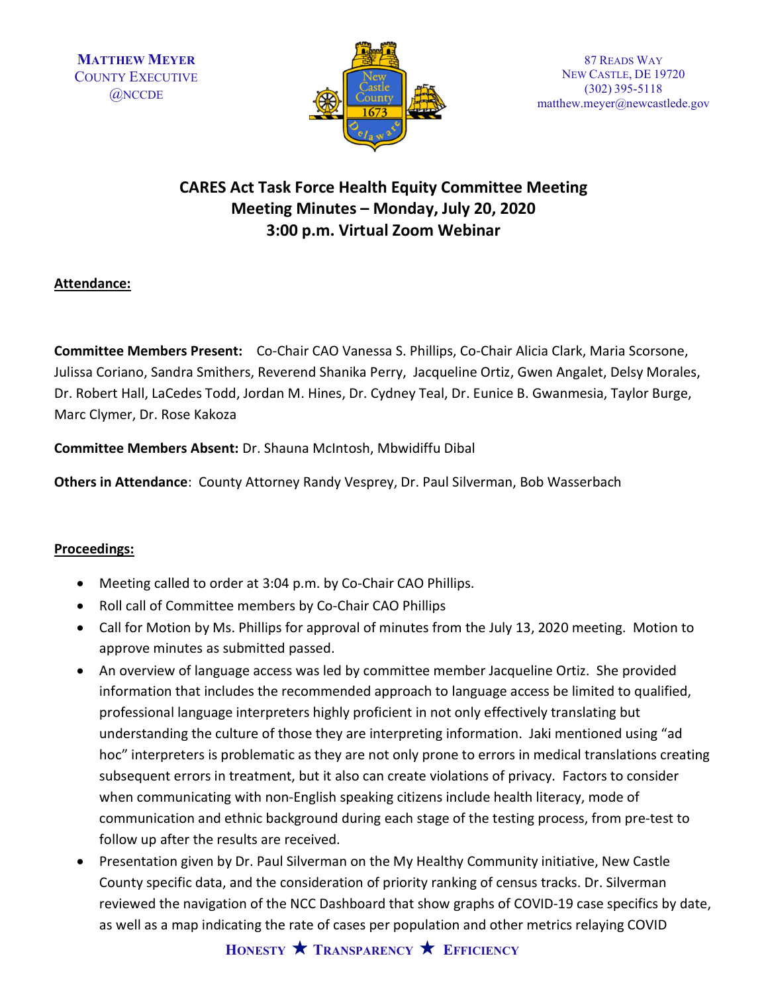

87 READS WAY NEW CASTLE, DE 19720 (302) 395-5118 matthew.meyer@newcastlede.gov

# CARES Act Task Force Health Equity Committee Meeting Meeting Minutes – Monday, July 20, 2020 3:00 p.m. Virtual Zoom Webinar

## Attendance:

Committee Members Present: Co-Chair CAO Vanessa S. Phillips, Co-Chair Alicia Clark, Maria Scorsone, Julissa Coriano, Sandra Smithers, Reverend Shanika Perry, Jacqueline Ortiz, Gwen Angalet, Delsy Morales, Dr. Robert Hall, LaCedes Todd, Jordan M. Hines, Dr. Cydney Teal, Dr. Eunice B. Gwanmesia, Taylor Burge, Marc Clymer, Dr. Rose Kakoza

Committee Members Absent: Dr. Shauna McIntosh, Mbwidiffu Dibal

Others in Attendance: County Attorney Randy Vesprey, Dr. Paul Silverman, Bob Wasserbach

## Proceedings:

- Meeting called to order at 3:04 p.m. by Co-Chair CAO Phillips.
- Roll call of Committee members by Co-Chair CAO Phillips
- Call for Motion by Ms. Phillips for approval of minutes from the July 13, 2020 meeting. Motion to approve minutes as submitted passed.
- An overview of language access was led by committee member Jacqueline Ortiz. She provided information that includes the recommended approach to language access be limited to qualified, professional language interpreters highly proficient in not only effectively translating but understanding the culture of those they are interpreting information. Jaki mentioned using "ad hoc" interpreters is problematic as they are not only prone to errors in medical translations creating subsequent errors in treatment, but it also can create violations of privacy. Factors to consider when communicating with non-English speaking citizens include health literacy, mode of communication and ethnic background during each stage of the testing process, from pre-test to follow up after the results are received.
- Presentation given by Dr. Paul Silverman on the My Healthy Community initiative, New Castle County specific data, and the consideration of priority ranking of census tracks. Dr. Silverman reviewed the navigation of the NCC Dashboard that show graphs of COVID-19 case specifics by date, as well as a map indicating the rate of cases per population and other metrics relaying COVID